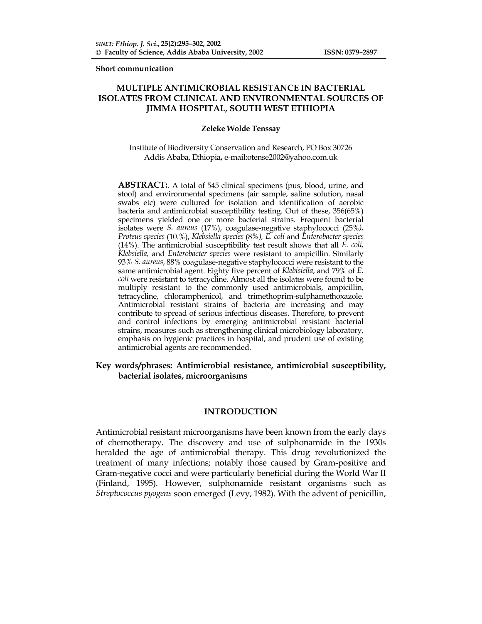**Short communication** 

# **MULTIPLE ANTIMICROBIAL RESISTANCE IN BACTERIAL ISOLATES FROM CLINICAL AND ENVIRONMENTAL SOURCES OF JIMMA HOSPITAL, SOUTH WEST ETHIOPIA**

#### **Zeleke Wolde Tenssay**

Institute of Biodiversity Conservation and Research, PO Box 30726 Addis Ababa, Ethiopia**,** e-mail:otense2002@yahoo.com.uk

**ABSTRACT:**. A total of 545 clinical specimens (pus, blood, urine, and stool) and environmental specimens (air sample, saline solution, nasal swabs etc) were cultured for isolation and identification of aerobic bacteria and antimicrobial susceptibility testing. Out of these, 356(65%) specimens yielded one or more bacterial strains. Frequent bacterial isolates were *S. aureus* (17%), coagulase-negative staphylococci (25%*), Proteus species* (10.%), *Klebsiella species* (8*%), E. coli* and *Enterobacter species* (14%). The antimicrobial susceptibility test result shows that all *E. coli, Klebsiella,* and *Enterobacter species* were resistant to ampicillin. Similarly 93*% S. aureus*, 88% coagulase-negative staphylococci were resistant to the same antimicrobial agent. Eighty five percent of *Klebisiella*, and 79% of *E. coli* were resistant to tetracycline. Almost all the isolates were found to be multiply resistant to the commonly used antimicrobials, ampicillin, tetracycline, chloramphenicol, and trimethoprim-sulphamethoxazole. Antimicrobial resistant strains of bacteria are increasing and may contribute to spread of serious infectious diseases. Therefore, to prevent and control infections by emerging antimicrobial resistant bacterial strains, measures such as strengthening clinical microbiology laboratory, emphasis on hygienic practices in hospital, and prudent use of existing antimicrobial agents are recommended.

## **Key words/phrases: Antimicrobial resistance, antimicrobial susceptibility, bacterial isolates, microorganisms**

#### **INTRODUCTION**

Antimicrobial resistant microorganisms have been known from the early days of chemotherapy. The discovery and use of sulphonamide in the 1930s heralded the age of antimicrobial therapy. This drug revolutionized the treatment of many infections; notably those caused by Gram-positive and Gram-negative cocci and were particularly beneficial during the World War II (Finland, 1995). However, sulphonamide resistant organisms such as *Streptococcus pyogens* soon emerged (Levy, 1982). With the advent of penicillin,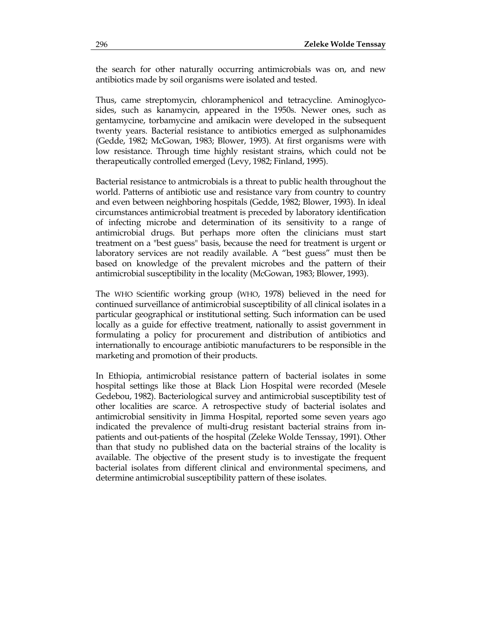the search for other naturally occurring antimicrobials was on, and new antibiotics made by soil organisms were isolated and tested.

Thus, came streptomycin, chloramphenicol and tetracycline. Aminoglycosides, such as kanamycin, appeared in the 1950s. Newer ones, such as gentamycine, torbamycine and amikacin were developed in the subsequent twenty years. Bacterial resistance to antibiotics emerged as sulphonamides (Gedde, 1982; McGowan, 1983; Blower, 1993). At first organisms were with low resistance. Through time highly resistant strains, which could not be therapeutically controlled emerged (Levy, 1982; Finland, 1995).

Bacterial resistance to antmicrobials is a threat to public health throughout the world. Patterns of antibiotic use and resistance vary from country to country and even between neighboring hospitals (Gedde, 1982; Blower, 1993). In ideal circumstances antimicrobial treatment is preceded by laboratory identification of infecting microbe and determination of its sensitivity to a range of antimicrobial drugs. But perhaps more often the clinicians must start treatment on a "best guess" basis, because the need for treatment is urgent or laboratory services are not readily available. A "best guess" must then be based on knowledge of the prevalent microbes and the pattern of their antimicrobial susceptibility in the locality (McGowan, 1983; Blower, 1993).

The WHO Scientific working group (WHO, 1978) believed in the need for continued surveillance of antimicrobial susceptibility of all clinical isolates in a particular geographical or institutional setting. Such information can be used locally as a guide for effective treatment, nationally to assist government in formulating a policy for procurement and distribution of antibiotics and internationally to encourage antibiotic manufacturers to be responsible in the marketing and promotion of their products.

In Ethiopia, antimicrobial resistance pattern of bacterial isolates in some hospital settings like those at Black Lion Hospital were recorded (Mesele Gedebou, 1982). Bacteriological survey and antimicrobial susceptibility test of other localities are scarce. A retrospective study of bacterial isolates and antimicrobial sensitivity in Jimma Hospital, reported some seven years ago indicated the prevalence of multi-drug resistant bacterial strains from inpatients and out-patients of the hospital (Zeleke Wolde Tenssay, 1991). Other than that study no published data on the bacterial strains of the locality is available. The objective of the present study is to investigate the frequent bacterial isolates from different clinical and environmental specimens, and determine antimicrobial susceptibility pattern of these isolates.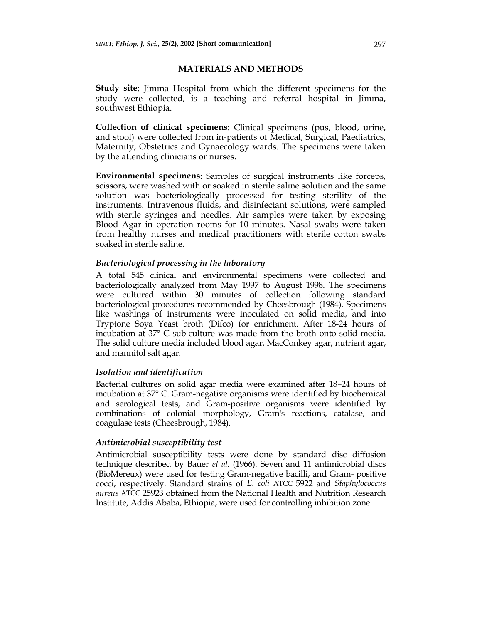### **MATERIALS AND METHODS**

**Study site**: Jimma Hospital from which the different specimens for the study were collected, is a teaching and referral hospital in Jimma, southwest Ethiopia.

**Collection of clinical specimens**: Clinical specimens (pus, blood, urine, and stool) were collected from in-patients of Medical, Surgical, Paediatrics, Maternity, Obstetrics and Gynaecology wards. The specimens were taken by the attending clinicians or nurses.

**Environmental specimens**: Samples of surgical instruments like forceps, scissors, were washed with or soaked in sterile saline solution and the same solution was bacteriologically processed for testing sterility of the instruments. Intravenous fluids, and disinfectant solutions, were sampled with sterile syringes and needles. Air samples were taken by exposing Blood Agar in operation rooms for 10 minutes. Nasal swabs were taken from healthy nurses and medical practitioners with sterile cotton swabs soaked in sterile saline.

# *Bacteriological processing in the laboratory*

A total 545 clinical and environmental specimens were collected and bacteriologically analyzed from May 1997 to August 1998. The specimens were cultured within 30 minutes of collection following standard bacteriological procedures recommended by Cheesbrough (1984). Specimens like washings of instruments were inoculated on solid media, and into Tryptone Soya Yeast broth (Difco) for enrichment. After 18-24 hours of incubation at 37° C sub-culture was made from the broth onto solid media. The solid culture media included blood agar, MacConkey agar, nutrient agar, and mannitol salt agar.

## *Isolation and identification*

Bacterial cultures on solid agar media were examined after 18–24 hours of incubation at 37° C. Gram-negative organisms were identified by biochemical and serological tests, and Gram-positive organisms were identified by combinations of colonial morphology, Gram's reactions, catalase, and coagulase tests (Cheesbrough, 1984).

## *Antimicrobial susceptibility test*

Antimicrobial susceptibility tests were done by standard disc diffusion technique described by Bauer *et al.* (1966). Seven and 11 antimicrobial discs (BioMereux) were used for testing Gram-negative bacilli, and Gram- positive cocci, respectively. Standard strains of *E. coli* ATCC 5922 and *Staphylococcus aureus* ATCC 25923 obtained from the National Health and Nutrition Research Institute, Addis Ababa, Ethiopia, were used for controlling inhibition zone.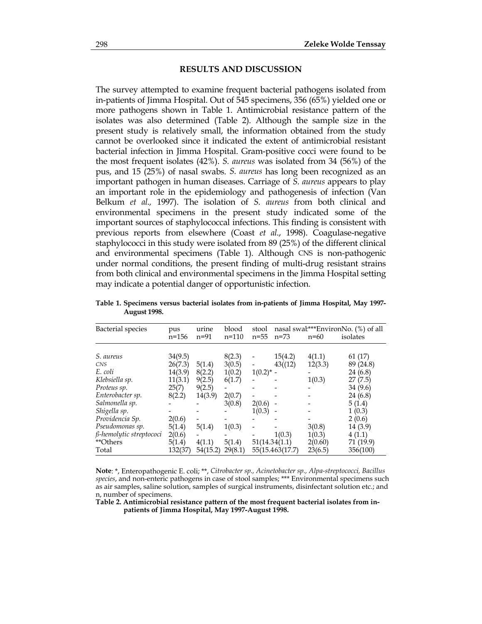#### **RESULTS AND DISCUSSION**

The survey attempted to examine frequent bacterial pathogens isolated from in-patients of Jimma Hospital. Out of 545 specimens, 356 (65%) yielded one or more pathogens shown in Table 1. Antimicrobial resistance pattern of the isolates was also determined (Table 2). Although the sample size in the present study is relatively small, the information obtained from the study cannot be overlooked since it indicated the extent of antimicrobial resistant bacterial infection in Jimma Hospital. Gram-positive cocci were found to be the most frequent isolates (42%). *S. aureus* was isolated from 34 (56%) of the pus, and 15 (25%) of nasal swabs. *S. aureus* has long been recognized as an important pathogen in human diseases. Carriage of *S. aureus* appears to play an important role in the epidemiology and pathogenesis of infection (Van Belkum *et al.,* 1997). The isolation of *S. aureus* from both clinical and environmental specimens in the present study indicated some of the important sources of staphylococcal infections. This finding is consistent with previous reports from elsewhere (Coast *et al*., 1998). Coagulase-negative staphylococci in this study were isolated from 89 (25%) of the different clinical and environmental specimens (Table 1). Although CNS is non-pathogenic under normal conditions, the present finding of multi-drug resistant strains from both clinical and environmental specimens in the Jimma Hospital setting may indicate a potential danger of opportunistic infection.

| <b>Bacterial</b> species | pus<br>$n = 156$ | urine<br>$n = 91$ | blood<br>$n=110$ | stool<br>$n = 55$ | nasal swal***EnvironNo. (%) of all<br>isolates<br>$n=60$<br>$n = 73$ |         |           |  |
|--------------------------|------------------|-------------------|------------------|-------------------|----------------------------------------------------------------------|---------|-----------|--|
|                          |                  |                   |                  |                   |                                                                      |         |           |  |
| S. aureus                | 34(9.5)          |                   | 8(2.3)           |                   | 15(4.2)                                                              | 4(1.1)  | 61 (17)   |  |
| <b>CNS</b>               | 26(7.3)          | 5(1.4)            | 3(0.5)           |                   | 43(12)                                                               | 12(3.3) | 89 (24.8) |  |
| E. coli                  | 14(3.9)          | 8(2.2)            | 1(0.2)           | $1(0.2)^{*}$ -    |                                                                      |         | 24 (6.8)  |  |
| Klebsiella sp.           | 11(3.1)          | 9(2.5)            | 6(1.7)           |                   |                                                                      | 1(0.3)  | 27(7.5)   |  |
| Proteus sp.              | 25(7)            | 9(2.5)            |                  |                   |                                                                      |         | 34 (9.6)  |  |
| Enterobacter sp.         | 8(2.2)           | 14(3.9)           | 2(0.7)           |                   |                                                                      |         | 24 (6.8)  |  |
| Salmonella sp.           |                  |                   | 3(0.8)           | 2(0.6)            |                                                                      |         | 5(1.4)    |  |
| Shigella sp.             |                  |                   |                  | 1(0.3)            |                                                                      |         | 1(0.3)    |  |
| Providencia Sp.          | 2(0.6)           |                   |                  |                   |                                                                      |         | 2(0.6)    |  |
| Pseudomonas sp.          | 5(1.4)           | 5(1.4)            | 1(0.3)           |                   |                                                                      | 3(0.8)  | 14(3.9)   |  |
| ß-hemolytic streptococi  | 2(0.6)           |                   |                  |                   | 1(0.3)                                                               | 1(0.3)  | 4(1.1)    |  |
| **Others                 | 5(1.4)           | 4(1.1)            | 5(1.4)           | 51(14.34(1.1)     |                                                                      | 2(0.60) | 71 (19.9) |  |
| Total                    | 132(37)          | 54(15.2)          | 29(8.1)          |                   | 55(15.463(17.7)                                                      | 23(6.5) | 356(100)  |  |

**Table 1. Specimens versus bacterial isolates from in-patients of Jimma Hospital, May 1997- August 1998.** 

**Note**: \*, Enteropathogenic E. coli; \*\*, *Citrobacter sp., Acinetobacter sp., Alpa-streptococci, Bacillus species*, and non-enteric pathogens in case of stool samples; \*\*\* Environmental specimens such as air samples, saline solution, samples of surgical instruments, disinfectant solution etc.; and n, number of specimens.

**Table 2. Antimicrobial resistance pattern of the most frequent bacterial isolates from inpatients of Jimma Hospital, May 1997-August 1998.**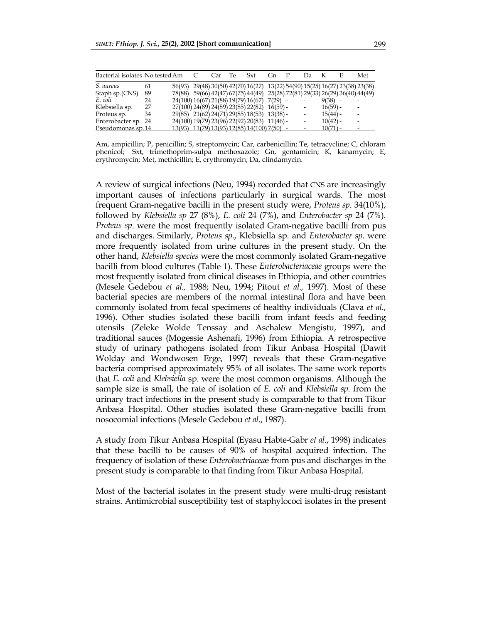| Bacterial isolates No tested Am |    |  | Car | - Te | Sxt                                                                          | Gn. | Da              |            | E | Met |
|---------------------------------|----|--|-----|------|------------------------------------------------------------------------------|-----|-----------------|------------|---|-----|
| S. aureus                       | 61 |  |     |      | 56(93) 29(48) 30(50) 42(70) 16(27) 13(22) 54(90) 15(25) 16(27) 23(38) 23(38) |     |                 |            |   |     |
| Staph sp.(CNS)                  | 89 |  |     |      | 78(88) 59(66) 42(47) 67(75) 44(49) 25(28) 72(81) 29(33) 26(29) 36(40) 44(49) |     |                 |            |   |     |
| E. coli                         | 24 |  |     |      | 24(100) 16(67) 21(88) 19(79) 16(67) 7(29) -                                  |     |                 | 9(38)      |   |     |
| Klebsiella sp.                  | 27 |  |     |      | $27(100)$ $24(89)$ $24(89)$ $23(85)$ $22(82)$ $16(59)$ -                     |     |                 | $16(59) -$ |   |     |
| Proteus sp.                     | 34 |  |     |      | 29(85) 21(62) 24(71) 29(85) 18(53) 13(38) -                                  |     |                 | $15(44) -$ |   |     |
| Enterobacter sp. 24             |    |  |     |      | 24(100) 19(79) 23(96) 22(92) 20(83) 11(46) -                                 |     | $\qquad \qquad$ | $10(42) -$ |   |     |
| Pseudomonas sp.14               |    |  |     |      | 13(93) 11(79) 13(93) 12(85) 14(100) 7(50) -                                  |     |                 | $10(71) -$ |   |     |

Am, ampicillin; P, penicillin; S, streptomycin; Car, carbenicillin; Te, tetracycline; C, chloram phenicol; Sxt, trimethoprim-sulpa methoxazole; Gn, gentamicin; K, kanamycin; E, erythromycin; Met, methicillin; E, erythromycin; Da, clindamycin.

A review of surgical infections (Neu, 1994) recorded that CNS are increasingly important causes of infections particularly in surgical wards. The most frequent Gram-negative bacilli in the present study were, *Proteus sp*. 34(10%), followed by *Klebsiella sp* 27 (8%), *E. coli* 24 (7%), and *Enterobacter sp* 24 (7%). *Proteus sp*. were the most frequently isolated Gram-negative bacilli from pus and discharges. Similarly, *Proteus sp*., Klebsiella sp. and *Enterobacter sp*. were more frequently isolated from urine cultures in the present study. On the other hand, *Klebsiella species* were the most commonly isolated Gram-negative bacilli from blood cultures (Table 1). These *Enterobacteriaceae* groups were the most frequently isolated from clinical diseases in Ethiopia, and other countries (Mesele Gedebou *et al.,* 1988; Neu, 1994; Pitout *et al.,* 1997). Most of these bacterial species are members of the normal intestinal flora and have been commonly isolated from fecal specimens of healthy individuals (Clava *et al.*, 1996). Other studies isolated these bacilli from infant feeds and feeding utensils (Zeleke Wolde Tenssay and Aschalew Mengistu, 1997), and traditional sauces (Mogessie Ashenafi, 1996) from Ethiopia. A retrospective study of urinary pathogens isolated from Tikur Anbasa Hospital (Dawit Wolday and Wondwosen Erge, 1997) reveals that these Gram-negative bacteria comprised approximately 95% of all isolates. The same work reports that *E. coli* and *Klebsiella* sp. were the most common organisms. Although the sample size is small, the rate of isolation of *E. coli* and *Klebsiella sp*. from the urinary tract infections in the present study is comparable to that from Tikur Anbasa Hospital. Other studies isolated these Gram-negative bacilli from nosocomial infections (Mesele Gedebou *et al*., 1987).

A study from Tikur Anbasa Hospital (Eyasu Habte-Gabr *et al.*, 1998) indicates that these bacilli to be causes of 90% of hospital acquired infection. The frequency of isolation of these *Enterobactriacea*e from pus and discharges in the present study is comparable to that finding from Tikur Anbasa Hospital.

Most of the bacterial isolates in the present study were multi-drug resistant strains. Antimicrobial susceptibility test of staphylococi isolates in the present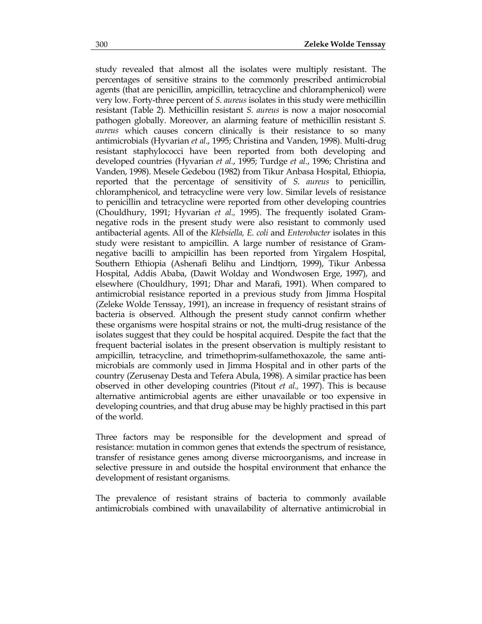study revealed that almost all the isolates were multiply resistant. The percentages of sensitive strains to the commonly prescribed antimicrobial agents (that are penicillin, ampicillin, tetracycline and chloramphenicol) were very low. Forty-three percent of *S. aureus* isolates in this study were methicillin resistant (Table 2). Methicillin resistant *S. aureus* is now a major nosocomial pathogen globally. Moreover, an alarming feature of methicillin resistant *S. aureus* which causes concern clinically is their resistance to so many antimicrobials (Hyvarian *et al*., 1995; Christina and Vanden, 1998). Multi-drug resistant staphylococci have been reported from both developing and developed countries (Hyvarian *et al.*, 1995; Turdge *et al.*, 1996; Christina and Vanden, 1998). Mesele Gedebou (1982) from Tikur Anbasa Hospital, Ethiopia, reported that the percentage of sensitivity of *S. aureus* to penicillin, chloramphenicol, and tetracycline were very low. Similar levels of resistance to penicillin and tetracycline were reported from other developing countries (Chouldhury, 1991; Hyvarian *et al.,* 1995). The frequently isolated Gramnegative rods in the present study were also resistant to commonly used antibacterial agents. All of the *Klebsiella, E. coli* and *Enterobacter* isolates in this study were resistant to ampicillin. A large number of resistance of Gramnegative bacilli to ampicillin has been reported from Yirgalem Hospital, Southern Ethiopia (Ashenafi Belihu and Lindtjorn, 1999), Tikur Anbessa Hospital, Addis Ababa, (Dawit Wolday and Wondwosen Erge, 1997), and elsewhere (Chouldhury, 1991; Dhar and Marafi, 1991). When compared to antimicrobial resistance reported in a previous study from Jimma Hospital (Zeleke Wolde Tenssay, 1991), an increase in frequency of resistant strains of bacteria is observed. Although the present study cannot confirm whether these organisms were hospital strains or not, the multi-drug resistance of the isolates suggest that they could be hospital acquired. Despite the fact that the frequent bacterial isolates in the present observation is multiply resistant to ampicillin, tetracycline, and trimethoprim-sulfamethoxazole, the same antimicrobials are commonly used in Jimma Hospital and in other parts of the country (Zerusenay Desta and Tefera Abula, 1998). A similar practice has been observed in other developing countries (Pitout *et al.,* 1997). This is because alternative antimicrobial agents are either unavailable or too expensive in developing countries, and that drug abuse may be highly practised in this part of the world.

Three factors may be responsible for the development and spread of resistance: mutation in common genes that extends the spectrum of resistance, transfer of resistance genes among diverse microorganisms, and increase in selective pressure in and outside the hospital environment that enhance the development of resistant organisms.

The prevalence of resistant strains of bacteria to commonly available antimicrobials combined with unavailability of alternative antimicrobial in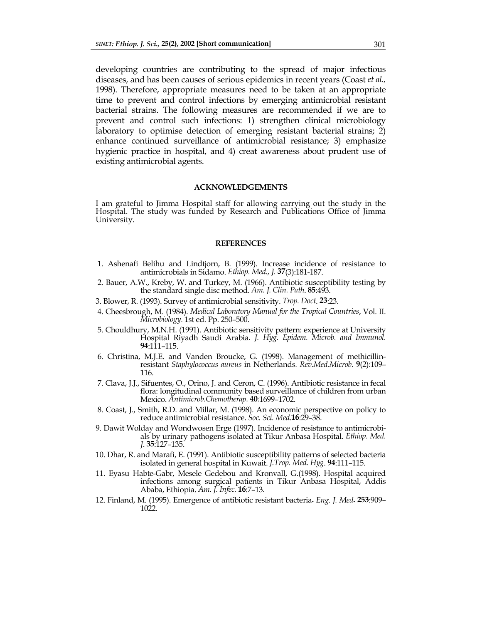developing countries are contributing to the spread of major infectious diseases, and has been causes of serious epidemics in recent years (Coast *et al.,* 1998). Therefore, appropriate measures need to be taken at an appropriate time to prevent and control infections by emerging antimicrobial resistant bacterial strains. The following measures are recommended if we are to prevent and control such infections: 1) strengthen clinical microbiology laboratory to optimise detection of emerging resistant bacterial strains; 2) enhance continued surveillance of antimicrobial resistance; 3) emphasize hygienic practice in hospital, and 4) creat awareness about prudent use of existing antimicrobial agents.

#### **ACKNOWLEDGEMENTS**

I am grateful to Jimma Hospital staff for allowing carrying out the study in the Hospital. The study was funded by Research and Publications Office of Jimma University.

#### **REFERENCES**

- 1. Ashenafi Belihu and Lindtjorn, B. (1999). Increase incidence of resistance to antimicrobials in Sidamo. *Ethiop. Med., J.* **37**(3):181-187.
- 2. Bauer, A.W., Kreby, W. and Turkey, M. (1966). Antibiotic susceptibility testing by the standard single disc method. *Am. J. Clin. Path*. **85**:493.
- 3. Blower, R. (1993). Survey of antimicrobial sensitivity. *Trop. Doct*. **23**:23.
- 4. Cheesbrough, M. (1984). *Medical Laboratory Manual for the Tropical Countries*, Vol. II. *Microbiology.* 1st ed. Pp. 250–500.
- 5. Chouldhury, M.N.H. (1991). Antibiotic sensitivity pattern: experience at University Hospital Riyadh Saudi Arabia*. J. Hyg. Epidem. Microb. and Immunol.*  **94**:111–115.
- 6. Christina, M.J.E. and Vanden Broucke, G. (1998). Management of methicillinresistant *Staphylococcus aureus* in Netherlands*. Rev.Med.Microb*. **9**(2):109– 116.
- 7. Clava, J.J., Sifuentes, O., Orino, J. and Ceron, C. (1996). Antibiotic resistance in fecal flora: longitudinal community based surveillance of children from urban Mexico. *Antimicrob.Chemotherap.* **40***:*1699–1702.
- 8. Coast, J., Smith, R.D. and Millar, M. (1998). An economic perspective on policy to reduce antimicrobial resistance. *Soc. Sci. Med*.**16**:29–38.
- 9. Dawit Wolday and Wondwosen Erge (1997). Incidence of resistance to antimicrobials by urinary pathogens isolated at Tikur Anbasa Hospital. *Ethiop. Med. J*. **35**:127–135.
- 10. Dhar, R. and Marafi, E. (1991). Antibiotic susceptibility patterns of selected bacteria isolated in general hospital in Kuwait. *J.Trop. Med. Hyg*. **94**:111–115.
- 11. Eyasu Habte-Gabr, Mesele Gedebou and Kronvall, G.(1998). Hospital acquired infections among surgical patients in Tikur Anbasa Hospital, Addis Ababa, Ethiopia. *Am. J. Infec.* **16**:7–13*.*
- 12. Finland, M. (1995). Emergence of antibiotic resistant bacteria**.** *Eng. J. Med***. 253**:909– 1022.